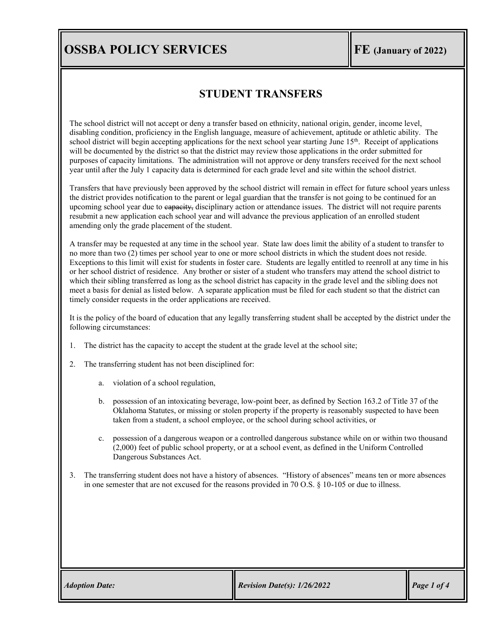# **OSSBA POLICY SERVICES FE** *(January of 2022)*

#### **STUDENT TRANSFERS**

The school district will not accept or deny a transfer based on ethnicity, national origin, gender, income level, disabling condition, proficiency in the English language, measure of achievement, aptitude or athletic ability. The school district will begin accepting applications for the next school year starting June 15<sup>th</sup>. Receipt of applications will be documented by the district so that the district may review those applications in the order submitted for purposes of capacity limitations. The administration will not approve or deny transfers received for the next school year until after the July 1 capacity data is determined for each grade level and site within the school district.

Transfers that have previously been approved by the school district will remain in effect for future school years unless the district provides notification to the parent or legal guardian that the transfer is not going to be continued for an upcoming school year due to eapacity, disciplinary action or attendance issues. The district will not require parents resubmit a new application each school year and will advance the previous application of an enrolled student amending only the grade placement of the student.

A transfer may be requested at any time in the school year. State law does limit the ability of a student to transfer to no more than two (2) times per school year to one or more school districts in which the student does not reside. Exceptions to this limit will exist for students in foster care. Students are legally entitled to reenroll at any time in his or her school district of residence. Any brother or sister of a student who transfers may attend the school district to which their sibling transferred as long as the school district has capacity in the grade level and the sibling does not meet a basis for denial as listed below. A separate application must be filed for each student so that the district can timely consider requests in the order applications are received.

It is the policy of the board of education that any legally transferring student shall be accepted by the district under the following circumstances:

- 1. The district has the capacity to accept the student at the grade level at the school site;
- 2. The transferring student has not been disciplined for:
	- a. violation of a school regulation,
	- b. possession of an intoxicating beverage, low-point beer, as defined by [Section 163.2](https://www.oscn.net/applications/oscn/DeliverDocument.asp?citeid=77990) of Title 37 of the Oklahoma Statutes, or missing or stolen property if the property is reasonably suspected to have been taken from a student, a school employee, or the school during school activities, or
	- c. possession of a dangerous weapon or a controlled dangerous substance while on or within two thousand (2,000) feet of public school property, or at a school event, as defined in the Uniform Controlled Dangerous Substances Act.
- 3. The transferring student does not have a history of absences. "History of absences" means ten or more absences in one semester that are not excused for the reasons provided in 70 O.S. § 10-105 or due to illness.

|  | <b>Adoption Date:</b> |
|--|-----------------------|
|  |                       |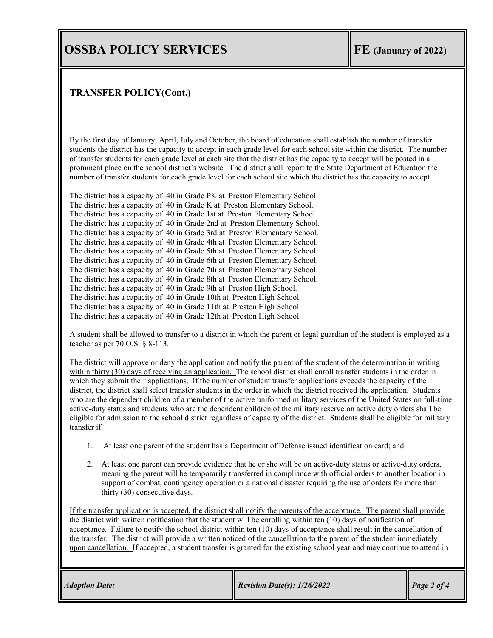### **OSSBA POLICY SERVICES FE FE (January of 2022)**

#### **TRANSFER POLICY(Cont.)**

By the first day of January, April, July and October, the board of education shall establish the number of transfer students the district has the capacity to accept in each grade level for each school site within the district. The number of transfer students for each grade level at each site that the district has the capacity to accept will be posted in a prominent place on the school district's website. The district shall report to the State Department of Education the number of transfer students for each grade level for each school site which the district has the capacity to accept.

The district has a capacity of 40 in Grade PK at Preston Elementary School. The district has a capacity of 40 in Grade K at Preston Elementary School. The district has a capacity of 40 in Grade 1st at Preston Elementary School. The district has a capacity of 40 in Grade 2nd at Preston Elementary School. The district has a capacity of 40 in Grade 3rd at Preston Elementary School. The district has a capacity of 40 in Grade 4th at Preston Elementary School. The district has a capacity of 40 in Grade 5th at Preston Elementary School. The district has a capacity of 40 in Grade 6th at Preston Elementary School. The district has a capacity of 40 in Grade 7th at Preston Elementary School. The district has a capacity of 40 in Grade 8th at Preston Elementary School. The district has a capacity of 40 in Grade 9th at Preston High School. The district has a capacity of 40 in Grade 10th at Preston High School. The district has a capacity of 40 in Grade 11th at Preston High School. The district has a capacity of 40 in Grade 12th at Preston High School.

A student shall be allowed to transfer to a district in which the parent or legal guardian of the student is employed as a teacher as per 70 O.S. § 8-113.

The district will approve or deny the application and notify the parent of the student of the determination in writing within thirty (30) days of receiving an application. The school district shall enroll transfer students in the order in which they submit their applications. If the number of student transfer applications exceeds the capacity of the district, the district shall select transfer students in the order in which the district received the application. Students who are the dependent children of a member of the active uniformed military services of the United States on full-time active-duty status and students who are the dependent children of the military reserve on active duty orders shall be eligible for admission to the school district regardless of capacity of the district. Students shall be eligible for military transfer if:

- 1. At least one parent of the student has a Department of Defense issued identification card; and
- 2. At least one parent can provide evidence that he or she will be on active-duty status or active-duty orders, meaning the parent will be temporarily transferred in compliance with official orders to another location in support of combat, contingency operation or a national disaster requiring the use of orders for more than thirty (30) consecutive days.

If the transfer application is accepted, the district shall notify the parents of the acceptance. The parent shall provide the district with written notification that the student will be enrolling within ten (10) days of notification of acceptance. Failure to notify the school district within ten (10) days of acceptance shall result in the cancellation of the transfer. The district will provide a written noticed of the cancellation to the parent of the student immediately upon cancellation. If accepted, a student transfer is granted for the existing school year and may continue to attend in

| <b>Adoption Date:</b> | <b>Revision Date(s):</b> $1/26/2022$ | $\vert$ Page 2 of 4 |
|-----------------------|--------------------------------------|---------------------|
|                       |                                      |                     |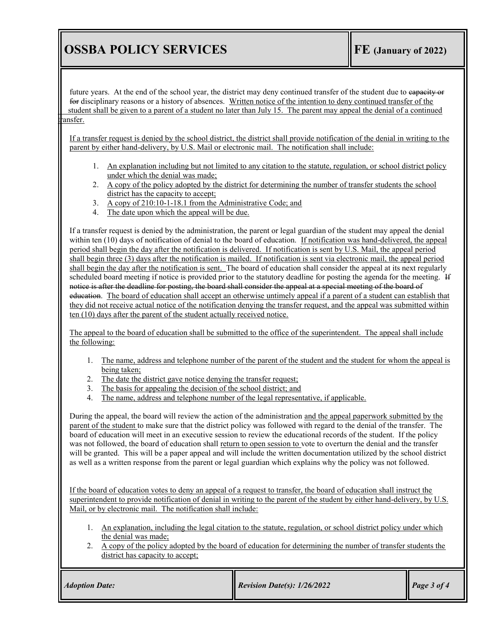# **OSSBA POLICY SERVICES FE** *(January of 2022)*

future years. At the end of the school year, the district may deny continued transfer of the student due to eapacity or for disciplinary reasons or a history of absences. Written notice of the intention to deny continued transfer of the student shall be given to a parent of a student no later than July 15. The parent may appeal the denial of a continued ansfer.

If a transfer request is denied by the school district, the district shall provide notification of the denial in writing to the parent by either hand-delivery, by U.S. Mail or electronic mail. The notification shall include:

- 1. An explanation including but not limited to any citation to the statute, regulation, or school district policy under which the denial was made;
- 2. A copy of the policy adopted by the district for determining the number of transfer students the school district has the capacity to accept;
- 3. A copy of 210:10-1-18.1 from the Administrative Code; and
- 4. The date upon which the appeal will be due.

If a transfer request is denied by the administration, the parent or legal guardian of the student may appeal the denial within ten (10) days of notification of denial to the board of education. If notification was hand-delivered, the appeal period shall begin the day after the notification is delivered. If notification is sent by U.S. Mail, the appeal period shall begin three (3) days after the notification is mailed. If notification is sent via electronic mail, the appeal period shall begin the day after the notification is sent. The board of education shall consider the appeal at its next regularly scheduled board meeting if notice is provided prior to the statutory deadline for posting the agenda for the meeting. If notice is after the deadline for posting, the board shall consider the appeal at a special meeting of the board of education. The board of education shall accept an otherwise untimely appeal if a parent of a student can establish that they did not receive actual notice of the notification denying the transfer request, and the appeal was submitted within ten (10) days after the parent of the student actually received notice.

The appeal to the board of education shall be submitted to the office of the superintendent. The appeal shall include the following:

- 1. The name, address and telephone number of the parent of the student and the student for whom the appeal is being taken;
- 2. The date the district gave notice denying the transfer request;
- 3. The basis for appealing the decision of the school district; and
- 4. The name, address and telephone number of the legal representative, if applicable.

During the appeal, the board will review the action of the administration and the appeal paperwork submitted by the parent of the student to make sure that the district policy was followed with regard to the denial of the transfer. The board of education will meet in an executive session to review the educational records of the student. If the policy was not followed, the board of education shall return to open session to vote to overturn the denial and the transfer will be granted. This will be a paper appeal and will include the written documentation utilized by the school district as well as a written response from the parent or legal guardian which explains why the policy was not followed.

If the board of education votes to deny an appeal of a request to transfer, the board of education shall instruct the superintendent to provide notification of denial in writing to the parent of the student by either hand-delivery, by U.S. Mail, or by electronic mail. The notification shall include:

- 1. An explanation, including the legal citation to the statute, regulation, or school district policy under which the denial was made;
- 2. A copy of the policy adopted by the board of education for determining the number of transfer students the district has capacity to accept;

| <b>Adoption Date:</b> | <b>Revision Date(s): <math>1/26/2022</math></b> | $\vert$ Page 3 of 4 |
|-----------------------|-------------------------------------------------|---------------------|
|-----------------------|-------------------------------------------------|---------------------|